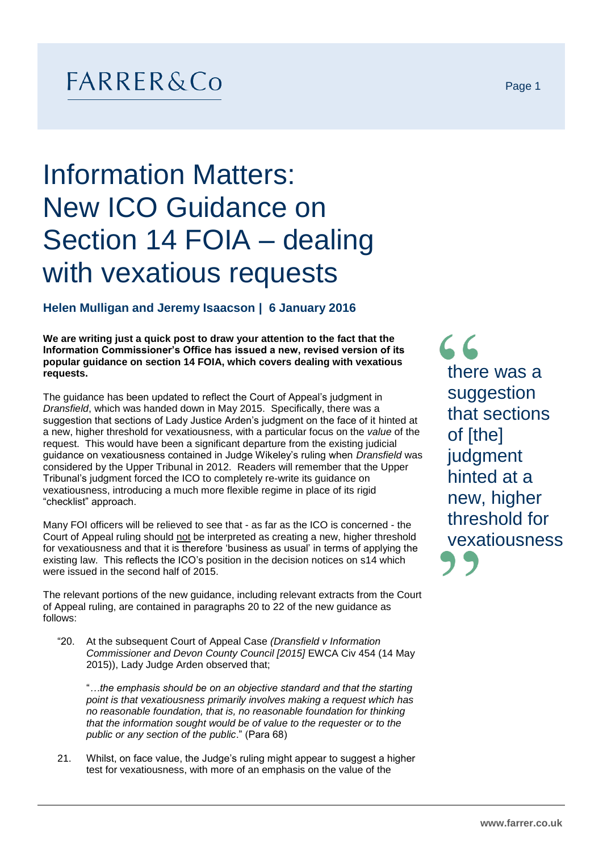## $FARRER&Co$

## Information Matters: New ICO Guidance on Section 14 FOIA – dealing with vexatious requests

## **Helen Mulligan and Jeremy Isaacson | 6 January 2016**

**We are writing just a quick post to draw your attention to the fact that the Information Commissioner's Office has issued a new, revised version of its popular guidance on section 14 FOIA, which covers dealing with vexatious requests.** 

The guidance has been updated to reflect the Court of Appeal's judgment in *Dransfield*, which was handed down in May 2015. Specifically, there was a suggestion that sections of Lady Justice Arden's judgment on the face of it hinted at a new, higher threshold for vexatiousness, with a particular focus on the *value* of the request. This would have been a significant departure from the existing judicial guidance on vexatiousness contained in Judge Wikeley's ruling when *Dransfield* was considered by the Upper Tribunal in 2012. Readers will remember that the Upper Tribunal's judgment forced the ICO to completely re-write its guidance on vexatiousness, introducing a much more flexible regime in place of its rigid "checklist" approach.

Many FOI officers will be relieved to see that - as far as the ICO is concerned - the Court of Appeal ruling should not be interpreted as creating a new, higher threshold for vexatiousness and that it is therefore 'business as usual' in terms of applying the existing law. This reflects the ICO's position in the decision notices on s14 which were issued in the second half of 2015.

The relevant portions of the new guidance, including relevant extracts from the Court of Appeal ruling, are contained in paragraphs 20 to 22 of the new guidance as follows:

"20. At the subsequent Court of Appeal Case *(Dransfield v Information Commissioner and Devon County Council [2015]* EWCA Civ 454 (14 May 2015)), Lady Judge Arden observed that;

"*…the emphasis should be on an objective standard and that the starting point is that vexatiousness primarily involves making a request which has no reasonable foundation, that is, no reasonable foundation for thinking that the information sought would be of value to the requester or to the public or any section of the public*." (Para 68)

21. Whilst, on face value, the Judge's ruling might appear to suggest a higher test for vexatiousness, with more of an emphasis on the value of the

 $66$ there was a suggestion that sections of [the] judgment hinted at a new, higher threshold for vexatiousness